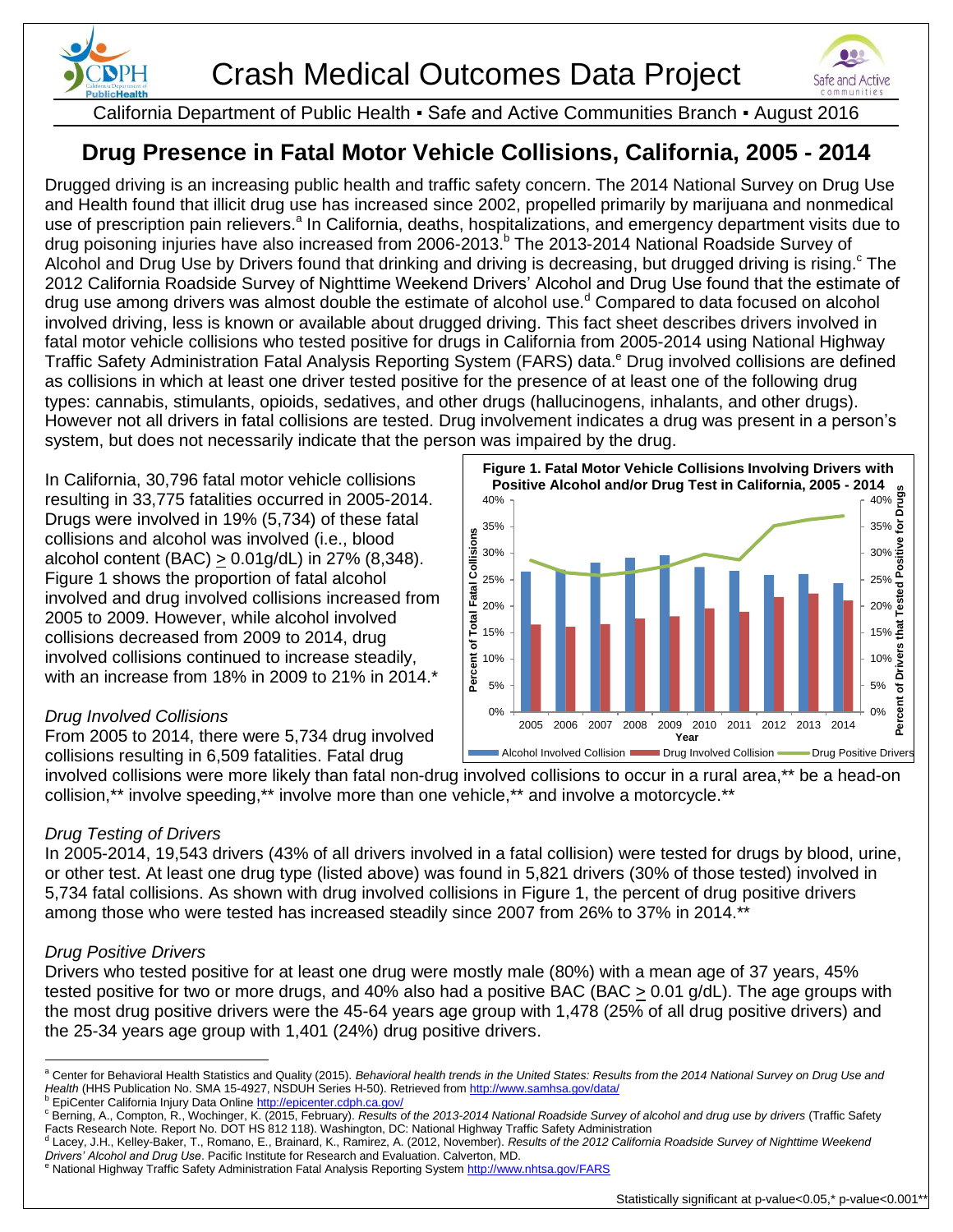



California Department of Public Health ▪ Safe and Active Communities Branch ▪ August 2016

# **Drug Presence in Fatal Motor Vehicle Collisions, California, 2005 - 2014**

Drugged driving is an increasing public health and traffic safety concern. The 2014 National Survey on Drug Use and Health found that illicit drug use has increased since 2002, propelled primarily by marijuana and nonmedical use of prescription pain relievers.<sup>a</sup> In California, deaths, hospitalizations, and emergency department visits due to drug poisoning injuries have also increased from 2006-2013.<sup>b</sup> The 2013-2014 National Roadside Survey of Alcohol and Drug Use by Drivers found that drinking and driving is decreasing, but drugged driving is rising.<sup>c</sup> The 2012 California Roadside Survey of Nighttime Weekend Drivers' Alcohol and Drug Use found that the estimate of drug use among drivers was almost double the estimate of alcohol use.<sup>d</sup> Compared to data focused on alcohol involved driving, less is known or available about drugged driving. This fact sheet describes drivers involved in fatal motor vehicle collisions who tested positive for drugs in California from 2005-2014 using National Highway Traffic Safety Administration Fatal Analysis Reporting System (FARS) data.<sup>e</sup> Drug involved collisions are defined as collisions in which at least one driver tested positive for the presence of at least one of the following drug types: cannabis, stimulants, opioids, sedatives, and other drugs (hallucinogens, inhalants, and other drugs). However not all drivers in fatal collisions are tested. Drug involvement indicates a drug was present in a person's system, but does not necessarily indicate that the person was impaired by the drug.

In California, 30,796 fatal motor vehicle collisions resulting in 33,775 fatalities occurred in 2005-2014. Drugs were involved in 19% (5,734) of these fatal collisions and alcohol was involved (i.e., blood alcohol content (BAC)  $\geq$  0.01g/dL) in 27% (8,348). Figure 1 shows the proportion of fatal alcohol involved and drug involved collisions increased from 2005 to 2009. However, while alcohol involved collisions decreased from 2009 to 2014, drug involved collisions continued to increase steadily, with an increase from 18% in 2009 to 21% in 2014.\*

# *Drug Involved Collisions*

From 2005 to 2014, there were 5,734 drug involved collisions resulting in 6,509 fatalities. Fatal drug



involved collisions were more likely than fatal non-drug involved collisions to occur in a rural area,\*\* be a head-on collision,\*\* involve speeding,\*\* involve more than one vehicle,\*\* and involve a motorcycle.\*\*

# *Drug Testing of Drivers*

In 2005-2014, 19,543 drivers (43% of all drivers involved in a fatal collision) were tested for drugs by blood, urine, or other test. At least one drug type (listed above) was found in 5,821 drivers (30% of those tested) involved in 5,734 fatal collisions. As shown with drug involved collisions in Figure 1, the percent of drug positive drivers among those who were tested has increased steadily since 2007 from 26% to 37% in 2014.\*\*

### *Drug Positive Drivers*

Drivers who tested positive for at least one drug were mostly male (80%) with a mean age of 37 years, 45% tested positive for two or more drugs, and 40% also had a positive BAC (BAC  $\geq$  0.01 g/dL). The age groups with the most drug positive drivers were the 45-64 years age group with 1,478 (25% of all drug positive drivers) and the 25-34 years age group with 1,401 (24%) drug positive drivers.

<sup>e</sup> National Highway Traffic Safety Administration Fatal Analysis Reporting System <u>http://www.nhtsa.gov/FARS</u>

 $\overline{a}$ <sup>a</sup> Center for Behavioral Health Statistics and Quality (2015). Behavioral health trends in the United States: Results from the 2014 National Survey on Drug Use and *Health* (HHS Publication No. SMA 15-4927, NSDUH Series H-50). Retrieved from<http://www.samhsa.gov/data/>

b EpiCenter California Injury Data Online<http://epicenter.cdph.ca.gov/>

<sup>c</sup> Berning, A., Compton, R., Wochinger, K. (2015, February). *Results of the 2013-2014 National Roadside Survey of alcohol and drug use by drivers* (Traffic Safety Facts Research Note. Report No. DOT HS 812 118). Washington, DC: National Highway Traffic Safety Administration

d Lacey, J.H., Kelley-Baker, T., Romano, E., Brainard, K., Ramirez, A. (2012, November). *Results of the 2012 California Roadside Survey of Nighttime Weekend Drivers' Alcohol and Drug Use*. Pacific Institute for Research and Evaluation. Calverton, MD.